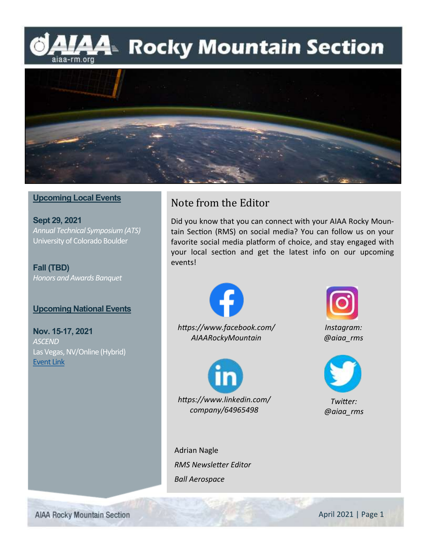## MAA Rocky Mountain Section aiaa-rm.org



### **Upcoming Local Events**

**Sept 29, 2021** *Annual Technical Symposium (ATS)* University of Colorado Boulder

**Fall (TBD)** *Honors and Awards Banquet*

### **Upcoming National Events**

**Nov. 15-17, 2021** *ASCEND* Las Vegas, NV/Online (Hybrid) [Event Link](https://www.ascend.events/)

## Note from the Editor

Did you know that you can connect with your AIAA Rocky Mountain Section (RMS) on social media? You can follow us on your favorite social media platform of choice, and stay engaged with your local section and get the latest info on our upcoming events!





*Instagram: @aiaa\_rms*



*Twitter: @aiaa\_rms*

Adrian Nagle *RMS Newsletter Editor Ball Aerospace*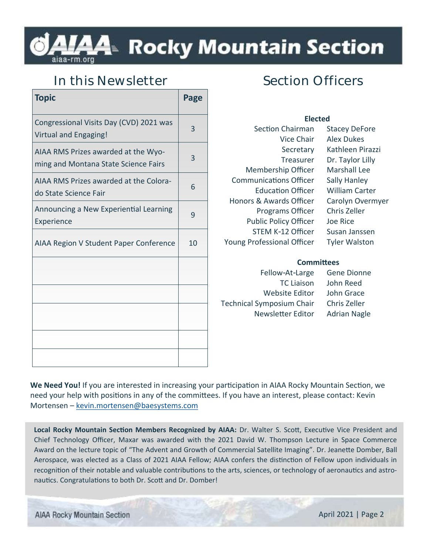# A4™ Rocky Mountain Section

## **In this Newsletter**

| <b>Topic</b>                                                                | Page |
|-----------------------------------------------------------------------------|------|
| Congressional Visits Day (CVD) 2021 was<br>Virtual and Engaging!            | 3    |
| AIAA RMS Prizes awarded at the Wyo-<br>ming and Montana State Science Fairs | 3    |
| AIAA RMS Prizes awarded at the Colora-<br>do State Science Fair             | 6    |
| Announcing a New Experiential Learning<br>Experience                        | 9    |
| AIAA Region V Student Paper Conference                                      | 10   |
|                                                                             |      |
|                                                                             |      |
|                                                                             |      |
|                                                                             |      |
|                                                                             |      |

## **Section Officers**

## **Elected**

| <b>Section Chairman</b>           | <b>Stacey DeFore</b>  |
|-----------------------------------|-----------------------|
| Vice Chair                        | Alex Dukes            |
| Secretary                         | Kathleen Pirazzi      |
| Treasurer                         | Dr. Taylor Lilly      |
| Membership Officer                | <b>Marshall Lee</b>   |
| <b>Communications Officer</b>     | <b>Sally Hanley</b>   |
| <b>Education Officer</b>          | <b>William Carter</b> |
| Honors & Awards Officer           | Carolyn Overmyer      |
| Programs Officer                  | Chris Zeller          |
| <b>Public Policy Officer</b>      | Joe Rice              |
| STEM K-12 Officer                 | Susan Janssen         |
| <b>Young Professional Officer</b> | <b>Tyler Walston</b>  |
|                                   |                       |

### **Committees**

Fellow-At-Large Gene Dionne Website Editor John Grace Technical Symposium Chair Chris Zeller Newsletter Editor Adrian Nagle

TC Liaison John Reed

**We Need You!** If you are interested in increasing your participation in AIAA Rocky Mountain Section, we need your help with positions in any of the committees. If you have an interest, please contact: Kevin Mortensen – [kevin.mortensen@baesystems.com](mailto:kevin.mortensen@baesystems.com)

**Local Rocky Mountain Section Members Recognized by AIAA:** Dr. Walter S. Scott, Executive Vice President and Chief Technology Officer, Maxar was awarded with the 2021 David W. Thompson Lecture in Space Commerce Award on the lecture topic of "The Advent and Growth of Commercial Satellite Imaging". Dr. Jeanette Domber, Ball Aerospace, was elected as a Class of 2021 AIAA Fellow; AIAA confers the distinction of Fellow upon individuals in recognition of their notable and valuable contributions to the arts, sciences, or technology of aeronautics and astronautics. Congratulations to both Dr. Scott and Dr. Domber!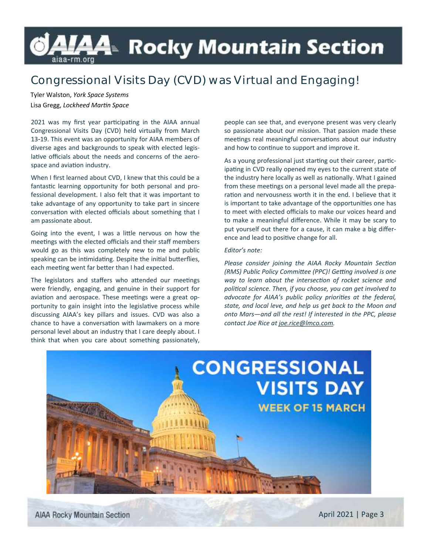# *L*A4≥ Rocky Mountain Section aiaa-rm.org

## **Congressional Visits Day (CVD) was Virtual and Engaging!**

Tyler Walston, *York Space Systems*  Lisa Gregg, *Lockheed Martin Space*

2021 was my first year participating in the AIAA annual Congressional Visits Day (CVD) held virtually from March 13-19. This event was an opportunity for AIAA members of diverse ages and backgrounds to speak with elected legislative officials about the needs and concerns of the aerospace and aviation industry.

When I first learned about CVD, I knew that this could be a fantastic learning opportunity for both personal and professional development. I also felt that it was important to take advantage of any opportunity to take part in sincere conversation with elected officials about something that I am passionate about.

Going into the event, I was a little nervous on how the meetings with the elected officials and their staff members would go as this was completely new to me and public speaking can be intimidating. Despite the initial butterflies, each meeting went far better than I had expected.

The legislators and staffers who attended our meetings were friendly, engaging, and genuine in their support for aviation and aerospace. These meetings were a great opportunity to gain insight into the legislative process while discussing AIAA's key pillars and issues. CVD was also a chance to have a conversation with lawmakers on a more personal level about an industry that I care deeply about. I think that when you care about something passionately,

people can see that, and everyone present was very clearly so passionate about our mission. That passion made these meetings real meaningful conversations about our industry and how to continue to support and improve it.

As a young professional just starting out their career, participating in CVD really opened my eyes to the current state of the industry here locally as well as nationally. What I gained from these meetings on a personal level made all the preparation and nervousness worth it in the end. I believe that it is important to take advantage of the opportunities one has to meet with elected officials to make our voices heard and to make a meaningful difference. While it may be scary to put yourself out there for a cause, it can make a big difference and lead to positive change for all.

#### *Editor's note:*

*Please consider joining the AIAA Rocky Mountain Section (RMS) Public Policy Committee (PPC)! Getting involved is one way to learn about the intersection of rocket science and political science. Then, if you choose, you can get involved to advocate for AIAA's public policy priorities at the federal, state, and local leve, and help us get back to the Moon and onto Mars—and all the rest! If interested in the PPC, please contact Joe Rice at joe.rice@lmco.com.* 

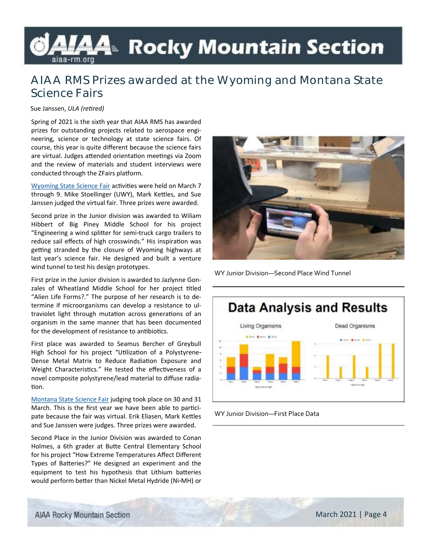# *L*A4≥ Rocky Mountain Section

## **AIAA RMS Prizes awarded at the Wyoming and Montana State Science Fairs**

Sue Janssen, *ULA (retired)*

Spring of 2021 is the sixth year that AIAA RMS has awarded prizes for outstanding projects related to aerospace engineering, science or technology at state science fairs. Of course, this year is quite different because the science fairs are virtual. Judges attended orientation meetings via Zoom and the review of materials and student interviews were conducted through the ZFairs platform.

[Wyoming State Science Fair](http://www.uwyo.edu/sciencefair/) activities were held on March 7 through 9. Mike Stoellinger (UWY), Mark Kettles, and Sue Janssen judged the virtual fair. Three prizes were awarded.

Second prize in the Junior division was awarded to Wiliam Hibbert of Big Piney Middle School for his project "Engineering a wind splitter for semi-truck cargo trailers to reduce sail effects of high crosswinds." His inspiration was getting stranded by the closure of Wyoming highways at last year's science fair. He designed and built a venture wind tunnel to test his design prototypes.

First prize in the Junior division is awarded to Jazlynne Gonzales of Wheatland Middle School for her project titled "Alien Life Forms?." The purpose of her research is to determine if microorganisms can develop a resistance to ultraviolet light through mutation across generations of an organism in the same manner that has been documented for the development of resistance to antibiotics.

First place was awarded to Seamus Bercher of Greybull High School for his project "Utilization of a Polystyrene-Dense Metal Matrix to Reduce Radiation Exposure and Weight Characteristics." He tested the effectiveness of a novel composite polystyrene/lead material to diffuse radiation.

[Montana State Science Fair](http://hs.umt.edu/mtsciencefair/) judging took place on 30 and 31 March. This is the first year we have been able to participate because the fair was virtual. Erik Eliasen, Mark Kettles and Sue Janssen were judges. Three prizes were awarded.

Second Place in the Junior Division was awarded to Conan Holmes, a 6th grader at Butte Central Elementary School for his project "How Extreme Temperatures Affect Different Types of Batteries?" He designed an experiment and the equipment to test his hypothesis that Lithium batteries would perform better than Nickel Metal Hydride (Ni-MH) or



WY Junior Division—Second Place Wind Tunnel



WY Junior Division—First Place Data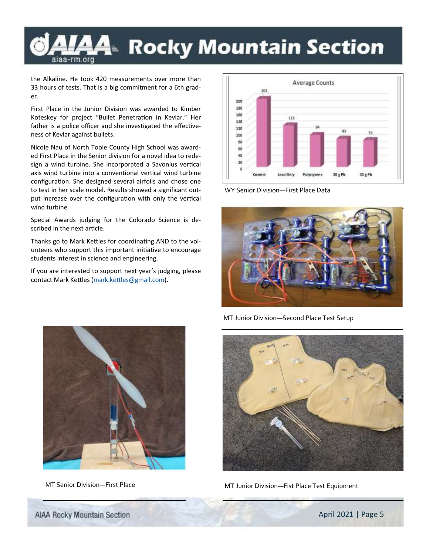## **A4** Rocky Mountain Section aiaa-rm.org

the Alkaline. He took 420 measurements over more than 33 hours of tests. That is a big commitment for a 6th grader.

First Place in the Junior Division was awarded to Kimber Koteskey for project "Bullet Penetration in Kevlar." Her father is a police officer and she investigated the effectiveness of Kevlar against bullets.

Nicole Nau of North Toole County High School was awarded First Place in the Senior division for a novel idea to redesign a wind turbine. She incorporated a Savonius vertical axis wind turbine into a conventional vertical wind turbine configuration. She designed several airfoils and chose one to test in her scale model. Results showed a significant output increase over the configuration with only the vertical wind turbine.

Special Awards judging for the Colorado Science is described in the next article.

Thanks go to Mark Kettles for coordinating AND to the volunteers who support this important initiative to encourage students interest in science and engineering.

If you are interested to support next year's judging, please contact Mark Kettles ([mark.kettles@gmail.com\).](mailto:mark.kettles@gmail.com?subject=Interested%20in%20AIAA%20RMS%20State%20Science%20Fair%20Judging)



WY Senior Division—First Place Data





MT Junior Division—Second Place Test Setup



MT Senior Division-First Place MT Junior Division-Fist Place Test Equipment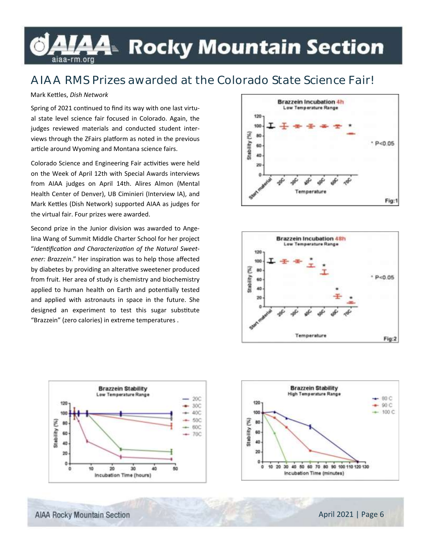## L⁄44 Rocky Mountain Section aiaa-rm.org

## **AIAA RMS Prizes awarded at the Colorado State Science Fair!**

#### Mark Kettles, *Dish Network*

Spring of 2021 continued to find its way with one last virtual state level science fair focused in Colorado. Again, the judges reviewed materials and conducted student interviews through the ZFairs platform as noted in the previous article around Wyoming and Montana science fairs.

Colorado Science and Engineering Fair activities were held on the Week of April 12th with Special Awards interviews from AIAA judges on April 14th. Alires Almon (Mental Health Center of Denver), UB Ciminieri (Interview IA), and Mark Kettles (Dish Network) supported AIAA as judges for the virtual fair. Four prizes were awarded.

Second prize in the Junior division was awarded to Angelina Wang of Summit Middle Charter School for her project "*Identification and Characterization of the Natural Sweetener: Brazzein*." Her inspiration was to help those affected by diabetes by providing an alterative sweetener produced from fruit. Her area of study is chemistry and biochemistry applied to human health on Earth and potentially tested and applied with astronauts in space in the future. She designed an experiment to test this sugar substitute "Brazzein" (zero calories) in extreme temperatures .







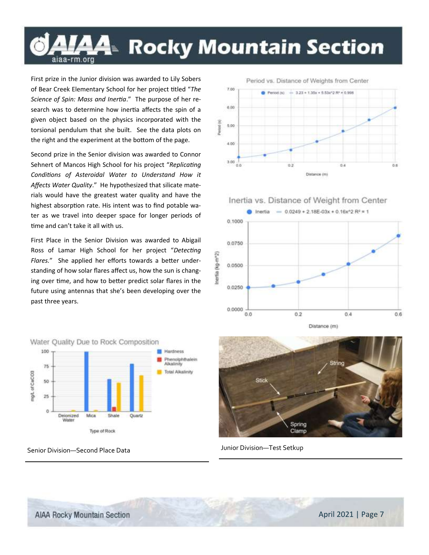# LAA⊧ Rocky Mountain Section aiaa-rm.org

First prize in the Junior division was awarded to Lily Sobers of Bear Creek Elementary School for her project titled "*The Science of Spin: Mass and Inertia*." The purpose of her research was to determine how inertia affects the spin of a given object based on the physics incorporated with the torsional pendulum that she built. See the data plots on the right and the experiment at the bottom of the page.

Second prize in the Senior division was awarded to Connor Sehnert of Mancos High School for his project "*Replicating Conditions of Asteroidal Water to Understand How it Affects Water Quality*." He hypothesized that silicate materials would have the greatest water quality and have the highest absorption rate. His intent was to find potable water as we travel into deeper space for longer periods of time and can't take it all with us.

First Place in the Senior Division was awarded to Abigail Ross of Lamar High School for her project "*Detecting Flares.*" She applied her efforts towards a better understanding of how solar flares affect us, how the sun is changing over time, and how to better predict solar flares in the future using antennas that she's been developing over the past three years.



7.00  $-3.23 + 1.35x + 5.53x^22R^2 = 0.998$ Period (s) 6.00 Pennod (ts) 5.00  $4.00$  $3.00$ o n  $0.2$ 0.4 0.6 Distance (m)







Senior Division—Second Place Data Junior Division—Test Setkup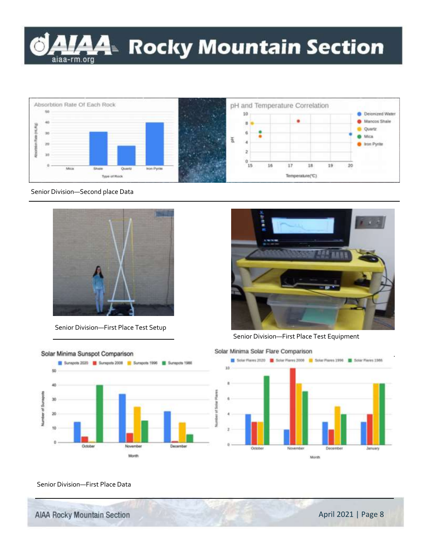



#### Senior Division—Second place Data



Senior Division—First Place Test Setup





Senior Division—First Place Test Equipment





#### Senior Division—First Place Data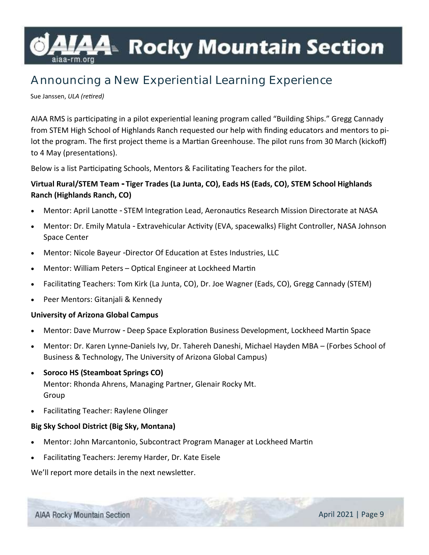# <del>A4</del>™ Rocky Mountain Section

## **Announcing a New Experiential Learning Experience**

Sue Janssen, *ULA (retired)*

AIAA RMS is participating in a pilot experiential leaning program called "Building Ships." Gregg Cannady from STEM High School of Highlands Ranch requested our help with finding educators and mentors to pilot the program. The first project theme is a Martian Greenhouse. The pilot runs from 30 March (kickoff) to 4 May (presentations).

Below is a list Participating Schools, Mentors & Facilitating Teachers for the pilot.

## **Virtual Rural/STEM Team - Tiger Trades (La Junta, CO), Eads HS (Eads, CO), STEM School Highlands Ranch (Highlands Ranch, CO)**

- Mentor: April Lanotte STEM Integration Lead, Aeronautics Research Mission Directorate at NASA
- Mentor: Dr. Emily Matula Extravehicular Activity (EVA, spacewalks) Flight Controller, NASA Johnson Space Center
- Mentor: Nicole Bayeur -Director Of Education at Estes Industries, LLC
- Mentor: William Peters Optical Engineer at Lockheed Martin
- Facilitating Teachers: Tom Kirk (La Junta, CO), Dr. Joe Wagner (Eads, CO), Gregg Cannady (STEM)
- Peer Mentors: Gitanjali & Kennedy

#### **University of Arizona Global Campus**

- Mentor: Dave Murrow Deep Space Exploration Business Development, Lockheed Martin Space
- Mentor: Dr. Karen Lynne-Daniels Ivy, Dr. Tahereh Daneshi, Michael Hayden MBA (Forbes School of Business & Technology, The University of Arizona Global Campus)
- **Soroco HS (Steamboat Springs CO)** Mentor: Rhonda Ahrens, Managing Partner, Glenair Rocky Mt. Group
- Facilitating Teacher: Raylene Olinger

### **Big Sky School District (Big Sky, Montana)**

- Mentor: John Marcantonio, Subcontract Program Manager at Lockheed Martin
- Facilitating Teachers: Jeremy Harder, Dr. Kate Eisele

We'll report more details in the next newsletter.